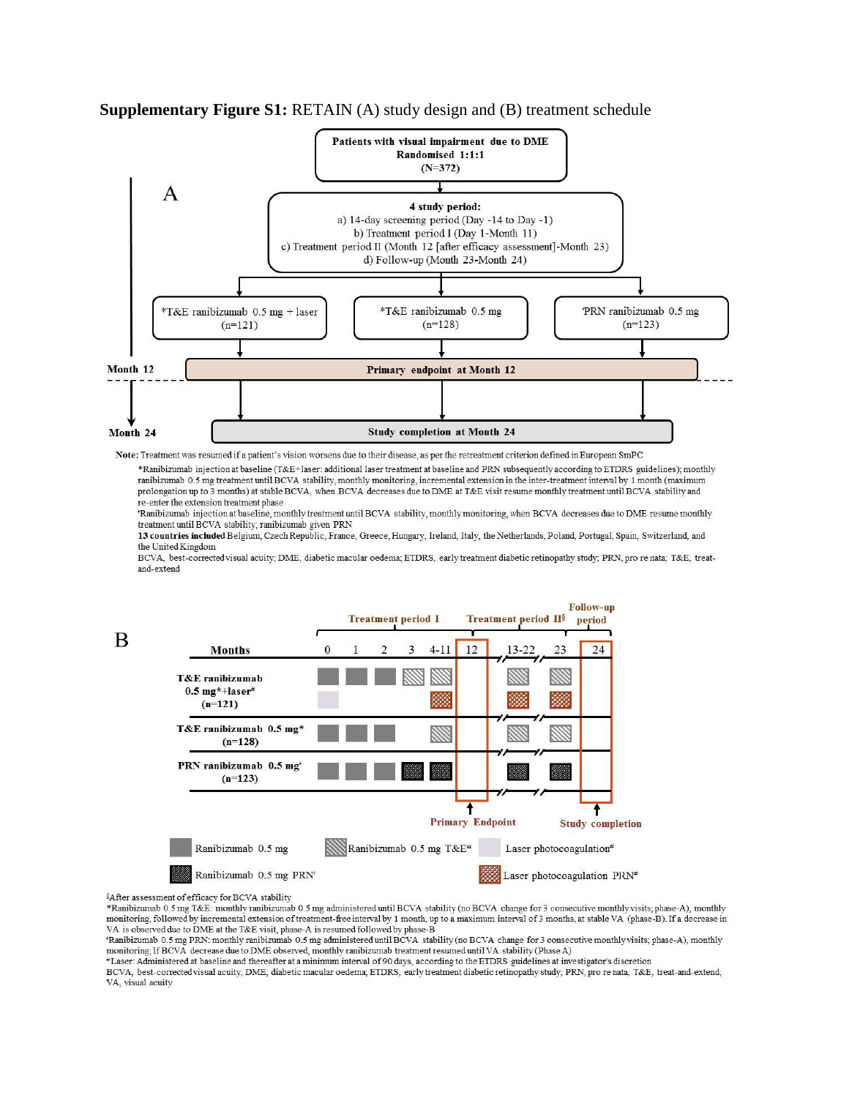

**Supplementary Figure S1: RETAIN (A) study design and (B) treatment schedule** 

Note: Treatment was resumed if a patient's vision worsens due to their disease, as per the retreatment criterion defined in European SmPC

\*Ranibizumab injection at baseline (T&E+laser: additional laser treatment at baseline and PRN subsequently according to ETDRS guidelines); monthly ranibizumab 0.5 mg treatment until BCVA stability, monthly monitoring, incremental extension in the inter-treatment interval by 1 month (maximum prolongation up to 3 months) at stable BCVA, when BCVA decreases due to DME at T&E visit resume monthly treatment until BCVA stability and re-enter the extension treatment phase

'Ranibizumab injection at baseline, monthly treatment until BCVA stability, monthly monitoring, when BCVA decreases due to DME resume monthly treatment until BCVA stability; ranibizumab given PRN

13 countries included Belgium, Czech Republic, France, Greece, Hungary, Ireland, Italy, the Netherlands, Poland, Portugal, Spain, Switzerland, and the United Kingdom

BCVA, best-corrected visual acuity, DME, diabetic macular oedema; ETDRS, early treatment diabetic retinopathy study; PRN, pro re nata; T&E, treatand-extend



<sup>§</sup>After assessment of efficacy for BCVA stability

\*Ranibizumab 0.5 mg T&E: monthly ranibizumab 0.5 mg administered until BCVA stability (no BCVA change for 3 consecutive monthly visits; phase-A), monthly monitoring, followed by incremental extension of treatment-free interval by 1 month, up to a maximum interval of 3 months, at stable VA (phase-B). If a decrease in VA is observed due to DME at the T&E visit, phase-A is resumed followed by phase-B

\*Ranibizumab 0.5 mg PRN: monthly ranibizumab 0.5 mg administered until BCVA stability (no BCVA change for 3 consecutive monthly visits; phase-A), monthly monitoring; If BCVA decrease due to DME observed, monthly ranibizumab treatment resumed until VA stability (Phase A)

#Laser: Administered at baseline and thereafter at a minimum interval of 90 days, according to the ETDRS guidelines at investigator's discretion

BCVA, best-corrected visual acuity, DME, diabetic macular oedema; ETDRS, early treatment diabetic retinopathy study, PRN, pro re nata; T&E, treat-and-extend; VA, visual acuity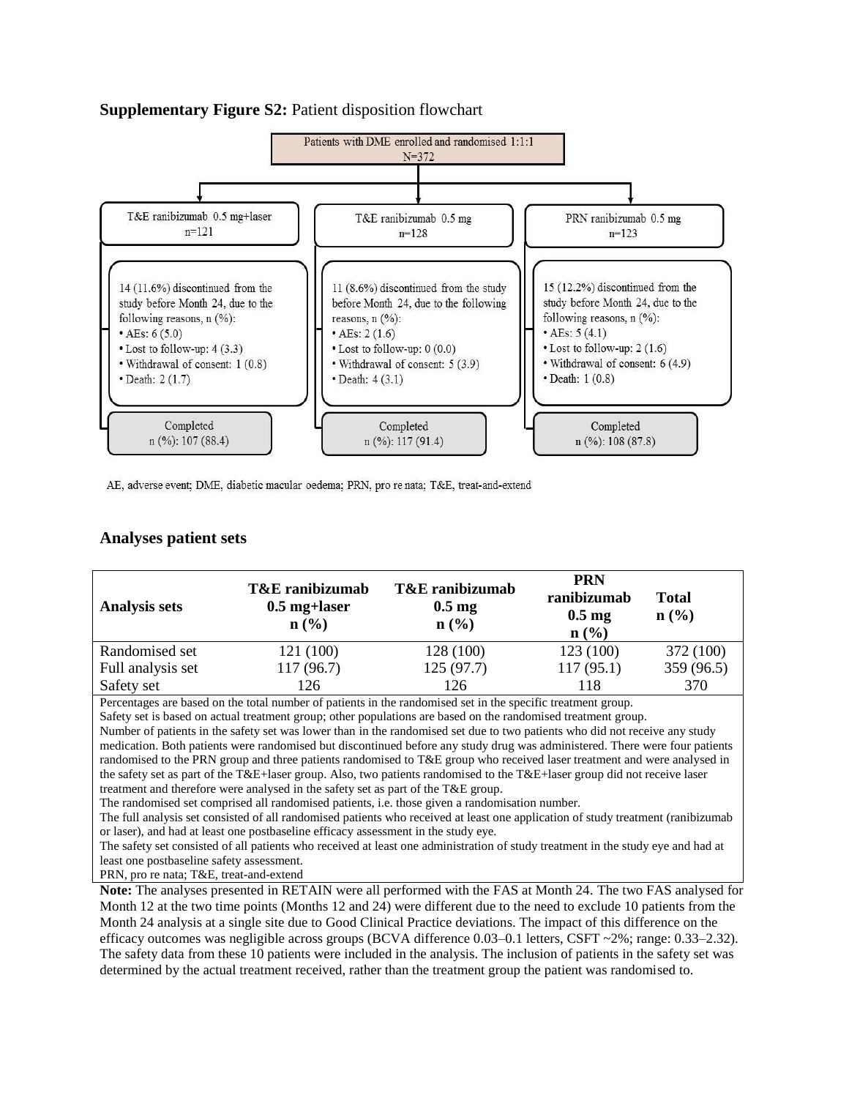## **Supplementary Figure S2:** Patient disposition flowchart



AE, adverse event; DME, diabetic macular oedema; PRN, pro re nata; T&E, treat-and-extend

## **Analyses patient sets**

| <b>Analysis sets</b> | <b>T&amp;E</b> ranibizumab<br>$0.5$ mg+laser<br>$\mathbf{n}(\%)$ | <b>T&amp;E</b> ranibizumab<br>$0.5 \text{ mg}$<br>$n\left(\frac{0}{0}\right)$ | <b>PRN</b><br>ranibizumab<br>$0.5 \text{ mg}$<br>$n\left(\frac{0}{0}\right)$ | <b>Total</b><br>$n\left(\frac{0}{0}\right)$ |
|----------------------|------------------------------------------------------------------|-------------------------------------------------------------------------------|------------------------------------------------------------------------------|---------------------------------------------|
| Randomised set       | 121 (100)                                                        | 128 (100)                                                                     | 123(100)                                                                     | 372 (100)                                   |
| Full analysis set    | 117 (96.7)                                                       | 125(97.7)                                                                     | 117(95.1)                                                                    | 359 (96.5)                                  |
| Safety set           | 126                                                              | 126                                                                           | 118                                                                          | 370                                         |

Percentages are based on the total number of patients in the randomised set in the specific treatment group.

Safety set is based on actual treatment group; other populations are based on the randomised treatment group.

Number of patients in the safety set was lower than in the randomised set due to two patients who did not receive any study medication. Both patients were randomised but discontinued before any study drug was administered. There were four patients randomised to the PRN group and three patients randomised to T&E group who received laser treatment and were analysed in the safety set as part of the T&E+laser group. Also, two patients randomised to the T&E+laser group did not receive laser treatment and therefore were analysed in the safety set as part of the T&E group.

The randomised set comprised all randomised patients, i.e. those given a randomisation number.

The full analysis set consisted of all randomised patients who received at least one application of study treatment (ranibizumab or laser), and had at least one postbaseline efficacy assessment in the study eye.

The safety set consisted of all patients who received at least one administration of study treatment in the study eye and had at least one postbaseline safety assessment.

PRN, pro re nata; T&E, treat-and-extend

**Note:** The analyses presented in RETAIN were all performed with the FAS at Month 24. The two FAS analysed for Month 12 at the two time points (Months 12 and 24) were different due to the need to exclude 10 patients from the Month 24 analysis at a single site due to Good Clinical Practice deviations. The impact of this difference on the efficacy outcomes was negligible across groups (BCVA difference 0.03–0.1 letters, CSFT ~2%; range: 0.33–2.32). The safety data from these 10 patients were included in the analysis. The inclusion of patients in the safety set was determined by the actual treatment received, rather than the treatment group the patient was randomised to.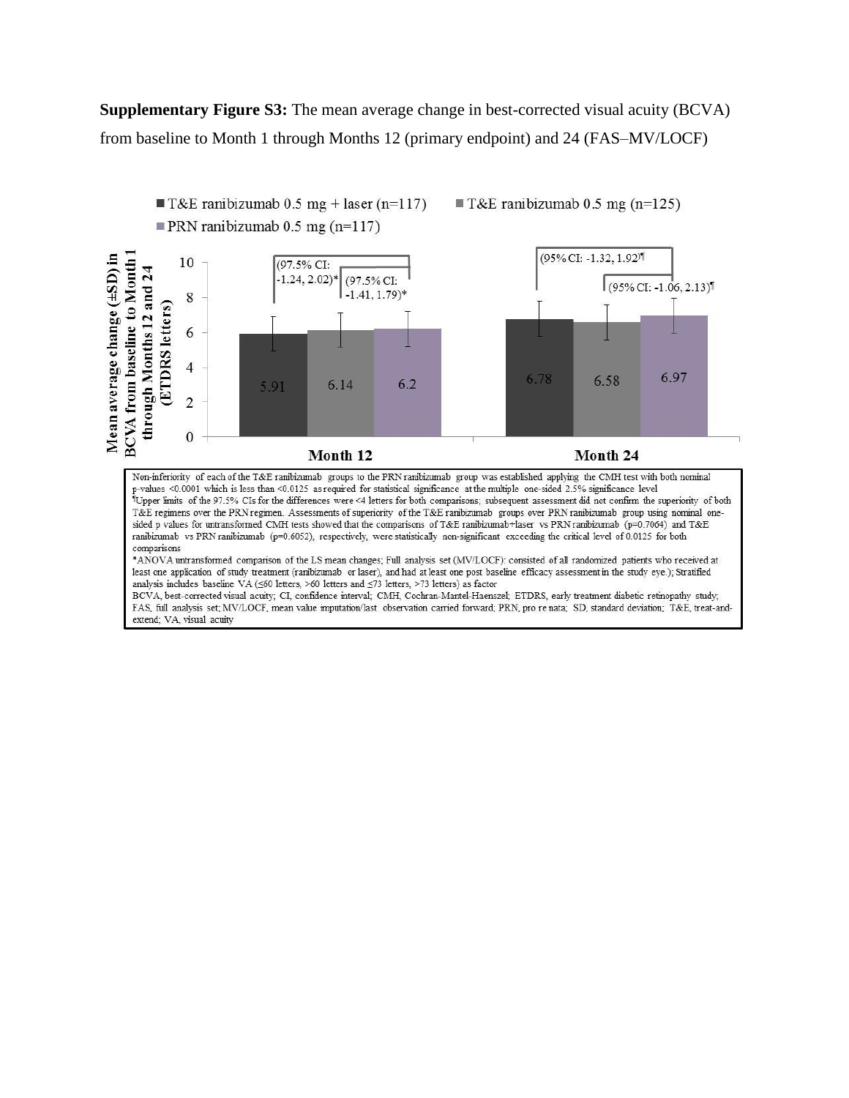**Supplementary Figure S3:** The mean average change in best-corrected visual acuity (BCVA) from baseline to Month 1 through Months 12 (primary endpoint) and 24 (FAS–MV/LOCF)